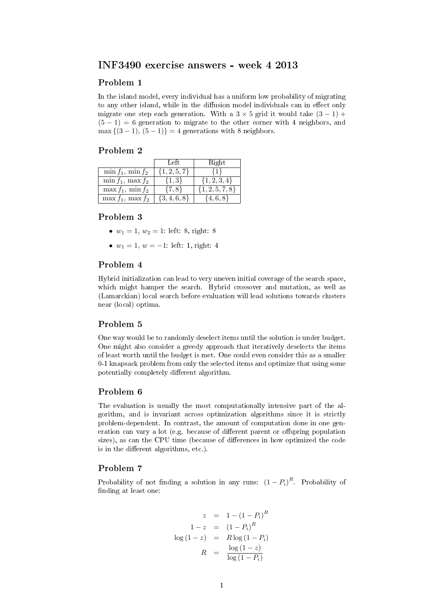# INF3490 exercise answers - week 4 2013

#### Problem 1

In the island model, every individual has a uniform low probability of migrating to any other island, while in the diffusion model individuals can in effect only migrate one step each generation. With a  $3 \times 5$  grid it would take  $(3 - 1)$  +  $(5 - 1) = 6$  generation to migrate to the other corner with 4 neighbors, and  $\max\{(3-1), (5-1)\} = 4$  generations with 8 neighbors.

#### Problem 2

|                         | Left             | Right               |
|-------------------------|------------------|---------------------|
| $\min f_1$ , $\min f_2$ | $\{1, 2, 5, 7\}$ | -≀1∗                |
| $\min f_1$ , $\max f_2$ | $\{1,3\}$        | $\{1, 2, 3, 4\}$    |
| $\max f_1$ , $\min f_2$ | $\{7,8\}$        | $\{1, 2, 5, 7, 8\}$ |
| $\max f_1$ , $\max f_2$ | $\{3,4,6,8\}$    | $\{4,6,8\}$         |

# Problem 3

- $w_1 = 1, w_2 = 1$ : left: 8, right: 8
- $w_1 = 1, w = -1$ : left: 1, right: 4

## Problem 4

Hybrid initialization can lead to very uneven initial coverage of the search space, which might hamper the search. Hybrid crossover and mutation, as well as (Lamarckian) local search before evaluation will lead solutions towards clusters near (local) optima.

# Problem 5

One way would be to randomly deselect items until the solution is under budget. One might also consider a greedy approach that iteratively deselects the items of least worth until the budget is met. One could even consider this as a smaller 0-1 knapsack problem from only the selected items and optimize that using some potentially completely different algorithm.

## Problem 6

The evaluation is usually the most computationally intensive part of the algorithm, and is invariant across optimization algorithms since it is strictly problem-dependent. In contrast, the amount of computation done in one generation can vary a lot (e.g. because of different parent or offspring population sizes), as can the CPU time (because of differences in how optimized the code is in the different algorithms, etc.).

## Problem 7

Probability of not finding a solution in any runs:  $(1 - P_i)^R$ . Probability of finding at least one:

$$
z = 1 - (1 - P_i)^R
$$

$$
1 - z = (1 - P_i)^R
$$

$$
\log(1 - z) = R \log(1 - P_i)
$$

$$
R = \frac{\log(1 - z)}{\log(1 - P_i)}
$$